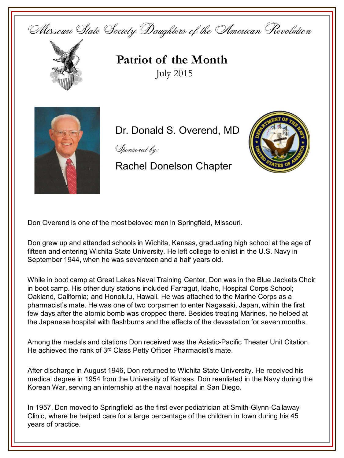



**Patriot of the Month** July 2015



Dr. Donald S. Overend, MD

Sponsored by:

Rachel Donelson Chapter



Don Overend is one of the most beloved men in Springfield, Missouri.

Don grew up and attended schools in Wichita, Kansas, graduating high school at the age of fifteen and entering Wichita State University. He left college to enlist in the U.S. Navy in September 1944, when he was seventeen and a half years old.

While in boot camp at Great Lakes Naval Training Center, Don was in the Blue Jackets Choir in boot camp. His other duty stations included Farragut, Idaho, Hospital Corps School; Oakland, California; and Honolulu, Hawaii. He was attached to the Marine Corps as a pharmacist's mate. He was one of two corpsmen to enter Nagasaki, Japan, within the first few days after the atomic bomb was dropped there. Besides treating Marines, he helped at the Japanese hospital with flashburns and the effects of the devastation for seven months.

Among the medals and citations Don received was the Asiatic-Pacific Theater Unit Citation. He achieved the rank of 3<sup>rd</sup> Class Petty Officer Pharmacist's mate.

After discharge in August 1946, Don returned to Wichita State University. He received his medical degree in 1954 from the University of Kansas. Don reenlisted in the Navy during the Korean War, serving an internship at the naval hospital in San Diego.

In 1957, Don moved to Springfield as the first ever pediatrician at Smith-Glynn-Callaway Clinic, where he helped care for a large percentage of the children in town during his 45 years of practice.